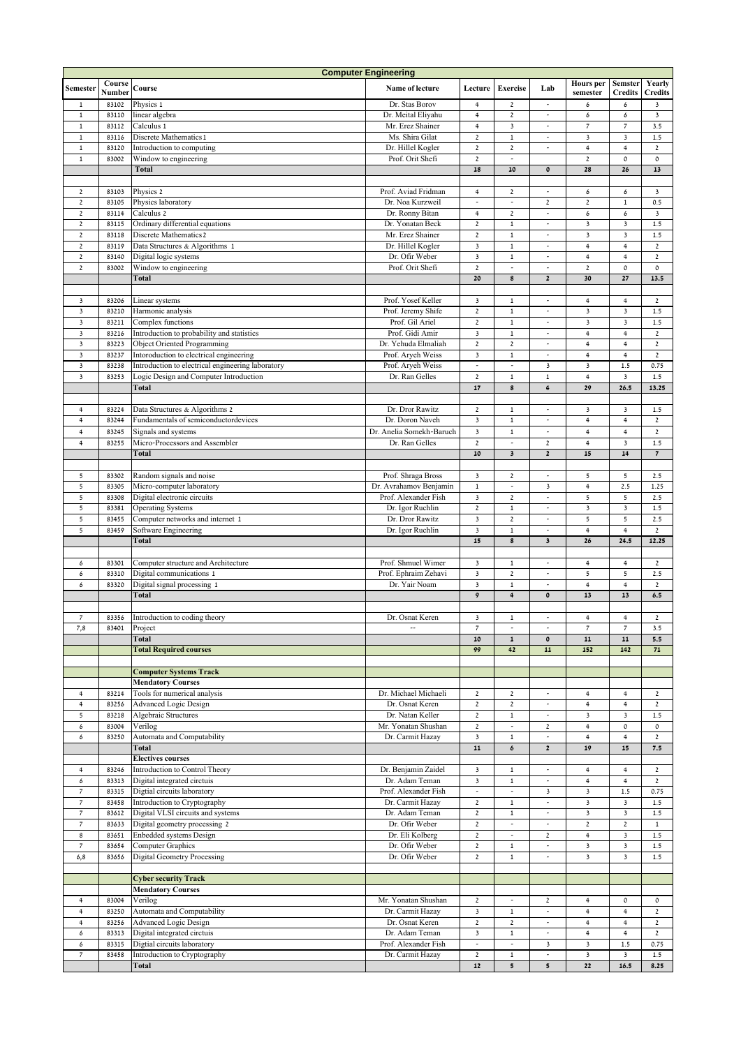|                                  |                  |                                                                        | <b>Computer Engineering</b>            |                               |                                     |                               |                                 |                                  |                          |
|----------------------------------|------------------|------------------------------------------------------------------------|----------------------------------------|-------------------------------|-------------------------------------|-------------------------------|---------------------------------|----------------------------------|--------------------------|
| Semester                         | Course<br>Number | Course                                                                 | Name of lecture                        | Lecture                       | <b>Exercise</b>                     | Lab                           | <b>Hours</b> per<br>semester    | <b>Semster</b><br><b>Credits</b> | Yearly<br><b>Credits</b> |
| $\mathbf{1}$                     | 83102            | Physics 1                                                              | Dr. Stas Borov                         | 4                             | $\mathbf{2}$                        | $\overline{\phantom{a}}$      | 6                               | 6                                | 3                        |
| $\,1$                            | 83110            | linear algebra                                                         | Dr. Meital Eliyahu                     | $\overline{4}$                | $\mathbf 2$                         | $\overline{\phantom{a}}$      | 6                               | 6                                | $\overline{\mathbf{3}}$  |
| $\,1$                            | 83112            | Calculus 1                                                             | Mr. Erez Shainer                       | $\overline{\mathbf{4}}$       | 3                                   | $\overline{a}$                | $\overline{\phantom{a}}$        | $\overline{\phantom{a}}$         | 3.5                      |
| $\,1$                            | 83116            | Discrete Mathematics 1                                                 | Ms. Shira Gilat                        | $\mathbf 2$                   | $\,1$                               | $\overline{\phantom{a}}$      | $\mathsf 3$                     | $\mathsf 3$                      | $1.5$                    |
| $\mathbf{1}$                     | 83120            | Introduction to computing                                              | Dr. Hillel Kogler                      | $\mathbf 2$                   | $\overline{2}$                      |                               | $\overline{4}$                  | $\ensuremath{\mathsf{4}}$        | $\overline{2}$           |
| $\mathbf 1$                      | 83002            | Window to engineering                                                  | Prof. Orit Shefi                       | $\mathbf 2$                   | $\overline{\phantom{a}}$            |                               | $\mathbf 2$                     | $\mathfrak o$                    | 0                        |
|                                  |                  | Total                                                                  |                                        | 18                            | 10                                  | $\mathbf 0$                   | 28                              | 26                               | 13                       |
|                                  |                  |                                                                        |                                        |                               |                                     |                               |                                 |                                  |                          |
| $\overline{2}$                   | 83103            | Physics 2                                                              | Prof. Aviad Fridman                    | $\overline{\mathbf{4}}$       | $\mathbf 2$                         | $\overline{\phantom{a}}$      | 6                               | 6                                | $\mathsf 3$              |
| $\mathbf 2$                      | 83105            | Physics laboratory                                                     | Dr. Noa Kurzweil                       | $\overline{a}$                | $\overline{a}$                      | $\mathbf 2$                   | $\mathbf 2$                     | $\,1\,$                          | 0.5                      |
| $\overline{2}$                   | 83114            | Calculus 2                                                             | Dr. Ronny Bitan                        | 4                             | $\mathbf 2$                         | $\overline{\phantom{a}}$      | 6                               | 6                                | $\overline{\mathbf{3}}$  |
| $\mathbf 2$                      | 83115            | Ordinary differential equations                                        | Dr. Yonatan Beck                       | $\mathbf 2$                   | $\mathbf 1$                         | $\overline{\phantom{a}}$      | $\mathsf 3$                     | $\overline{\mathbf{3}}$          | $1.5\,$                  |
| $\mathbf 2$                      | 83118            | Discrete Mathematics 2                                                 | Mr. Erez Shainer                       | $\mathbf{2}$                  | $\mathbf 1$                         | $\overline{\phantom{a}}$      | $\overline{\mathbf{3}}$         | $\overline{\mathbf{3}}$          | 1.5                      |
| $\overline{2}$                   | 83119            | Data Structures & Algorithms 1                                         | Dr. Hillel Kogler                      | 3                             | $\mathbf 1$                         | $\frac{1}{2}$                 | $\ensuremath{\mathsf{4}}$       | $\overline{4}$                   | $\mathbf 2$              |
| $\mathbf{2}$                     | 83140            | Digital logic systems                                                  | Dr. Ofir Weber                         | $\mathbf 3$                   | $\mathbf 1$                         | $\overline{\phantom{a}}$      | $\overline{4}$                  | $\overline{4}$                   | $\mathbf 2$              |
| $\mathbf 2$                      | 83002            | Window to engineering                                                  | Prof. Orit Shefi                       | $\mathbf 2$                   | $\overline{a}$                      | ÷,                            | $\mathbf 2$                     | $\mathfrak o$                    | $\mathsf{o}\,$           |
|                                  |                  | Total                                                                  |                                        | 20                            | 8                                   | $\mathbf{2}$                  | 30                              | 27                               | 13.5                     |
|                                  |                  |                                                                        |                                        |                               |                                     |                               |                                 |                                  |                          |
| $\overline{\mathbf{3}}$          | 83206            | Linear systems                                                         | Prof. Yosef Keller                     | $\overline{\mathbf{3}}$       | $\mathbf 1$                         | ÷,                            | $\ensuremath{\mathsf{4}}$       | 4                                | $\mathbf 2$              |
| $\overline{\mathbf{3}}$          | 83210            | Harmonic analysis                                                      | Prof. Jeremy Shife                     | $\mathbf 2$                   | $\mathbf 1$                         |                               | 3                               | 3                                | $1.5\,$                  |
| $\overline{\mathbf{3}}$          | 83211            | Complex functions                                                      | Prof. Gil Ariel                        | $\mathbf 2$                   | $\mathbf 1$                         | L,                            | $\mathsf 3$                     | 3                                | 1.5                      |
| $\mathbf 3$                      | 83216            | Introduction to probability and statistics                             | Prof. Gidi Amir                        | 3                             | $\,1\,$                             | $\overline{\phantom{a}}$      | $\ensuremath{\mathsf{4}}$       | $\ensuremath{\mathsf{4}}$        | $\mathbf 2$              |
| $\mathbf 3$                      | 83223            | Object Oriented Programming                                            | Dr. Yehuda Elmaliah                    | $\mathbf 2$                   | $\mathbf 2$                         | $\overline{\phantom{a}}$      | $\ensuremath{\mathsf{4}}$       | $\,4\,$                          | $\mathbf 2$              |
| $\overline{\mathbf{3}}$          | 83237            | Intoroduction to electrical engineering                                | Prof. Aryeh Weiss                      | 3<br>$\overline{\phantom{a}}$ | $\mathbf 1$<br>$\frac{1}{2}$        | $\overline{\phantom{a}}$      | $\overline{4}$                  | $\overline{4}$                   | $\overline{2}$           |
| $\overline{\mathbf{3}}$          | 83238            | Introduction to electrical engineering laboratory                      | Prof. Aryeh Weiss                      |                               |                                     | $\overline{\mathbf{3}}$       | $\overline{\mathbf{3}}$         | 1.5                              | 0.75                     |
| $\overline{\mathbf{3}}$          | 83253            | Logic Design and Computer Introduction                                 | Dr. Ran Gelles                         | $\overline{2}$                | $\,1$                               | $\mathbf 1$                   | $\overline{4}$                  | $\overline{\mathbf{3}}$          | 1.5                      |
|                                  |                  | <b>Total</b>                                                           |                                        | 17                            | 8                                   | 4                             | 29                              | 26.5                             | 13.25                    |
|                                  | 83224            |                                                                        | Dr. Dror Rawitz                        | $\overline{\mathbf{2}}$       | $\,1\,$                             | $\overline{a}$                |                                 | $\mathbf 3$                      |                          |
| $\overline{4}$<br>$\overline{4}$ | 83244            | Data Structures & Algorithms 2<br>Fundamentals of semiconductordevices | Dr. Doron Naveh                        | 3                             | $\,1$                               | $\frac{1}{2}$                 | 3<br>$\ensuremath{\mathsf{4}}$  | $\ensuremath{\mathsf{4}}$        | 1.5<br>$\overline{2}$    |
| $\overline{4}$                   | 83245            |                                                                        | Dr. Anelia Somekh-Baruch               | $\overline{\mathbf{3}}$       | $\mathbf 1$                         | ÷,                            | $\overline{4}$                  | $\overline{4}$                   | $\mathbf 2$              |
|                                  |                  | Signals and systems                                                    |                                        |                               |                                     |                               |                                 |                                  |                          |
| $\overline{4}$                   | 83255            | Micro-Processors and Assembler<br><b>Total</b>                         | Dr. Ran Gelles                         | $\mathbf 2$<br>10             | ÷,                                  | $\mathbf 2$<br>$\mathbf{2}$   | $\ensuremath{\mathsf{4}}$<br>15 | $\overline{\mathbf{3}}$<br>14    | $1.5$<br>$\overline{7}$  |
|                                  |                  |                                                                        |                                        |                               | $\mathbf 3$                         |                               |                                 |                                  |                          |
| 5                                | 83302            | Random signals and noise                                               | Prof. Shraga Bross                     | $\overline{\mathbf{3}}$       | $\mathbf 2$                         | ÷,                            | 5                               | 5                                | 2.5                      |
| 5                                | 83305            | Micro-computer laboratory                                              | Dr. Avrahamov Benjamin                 | $\mathbf 1$                   | ÷,                                  | 3                             | $\ensuremath{\mathsf{4}}$       | 2.5                              | 1.25                     |
| 5                                | 83308            | Digital electronic circuits                                            | Prof. Alexander Fish                   | 3                             | $\mathbf 2$                         | $\overline{\phantom{a}}$      | 5                               | 5                                | 2.5                      |
| 5                                | 83381            | <b>Operating Systems</b>                                               | Dr. Igor Ruchlin                       | $\mathbf 2$                   | $\mathbf 1$                         | $\overline{\phantom{a}}$      | $\mathsf 3$                     | $\mathsf 3$                      | $1.5\,$                  |
| 5                                | 83455            | Computer networks and internet 1                                       | Dr. Dror Rawitz                        | $\overline{\mathbf{3}}$       | $\overline{2}$                      | $\overline{\phantom{a}}$      | 5                               | 5                                | 2.5                      |
| 5                                | 83459            | Software Engineering                                                   | Dr. Igor Ruchlin                       | $\overline{\mathbf{3}}$       | $\mathbf 1$                         | $\overline{\phantom{a}}$      | $\overline{4}$                  | $\overline{4}$                   | $\overline{2}$           |
|                                  |                  | Total                                                                  |                                        | 15                            | 8                                   | $\overline{\mathbf{3}}$       | 26                              | 24.5                             | 12.25                    |
|                                  |                  |                                                                        |                                        |                               |                                     |                               |                                 |                                  |                          |
| 6                                | 83301            | Computer structure and Architecture                                    | Prof. Shmuel Wimer                     | 3                             | $\mathbf 1$                         | $\overline{\phantom{a}}$      | $\overline{4}$                  | $\ensuremath{\mathsf{4}}$        | $\overline{2}$           |
| 6                                | 83310            | Digital communications 1                                               | Prof. Ephraim Zehavi                   | $\overline{\mathbf{3}}$       | $\overline{\mathbf{2}}$             | $\overline{a}$                | 5                               | $\sqrt{5}$                       | 2.5                      |
| 6                                | 83320            | Digital signal processing 1                                            | Dr. Yair Noam                          | $\overline{\mathbf{3}}$       | $\,1$                               | $\overline{\phantom{a}}$      | $\ensuremath{\mathsf{4}}$       | $\overline{4}$                   | $\overline{2}$           |
|                                  |                  | <b>Total</b>                                                           |                                        | 9                             | 4                                   | $\mathbf{o}$                  | 13                              | 13                               | 6.5                      |
|                                  |                  |                                                                        |                                        |                               |                                     |                               |                                 |                                  |                          |
| $\overline{\phantom{a}}$         | 83356            | Introduction to coding theory                                          | Dr. Osnat Keren                        | 3                             | $\mathbf 1$                         | L,                            | $\overline{4}$                  | $\overline{4}$                   | $\mathbf 2$              |
| 7,8                              | 83401            | Project                                                                | $\overline{\phantom{a}}$               | $\overline{\phantom{a}}$      | $\overline{\phantom{a}}$            |                               | $\overline{\phantom{a}}$        | $\overline{\phantom{a}}$         | 3.5                      |
|                                  |                  | <b>Total</b>                                                           |                                        | 10                            | $\mathbf 1$                         | $\pmb{\mathfrak{0}}$          | 11                              | 11                               | 5.5                      |
|                                  |                  | <b>Total Required courses</b>                                          |                                        | 99                            | 42                                  | 11                            | 152                             | 142                              | 71                       |
|                                  |                  |                                                                        |                                        |                               |                                     |                               |                                 |                                  |                          |
|                                  |                  | <b>Computer Systems Track</b>                                          |                                        |                               |                                     |                               |                                 |                                  |                          |
|                                  |                  | <b>Mendatory Courses</b>                                               |                                        |                               |                                     |                               |                                 |                                  |                          |
| $\overline{4}$                   | 83214            | Tools for numerical analysis                                           | Dr. Michael Michaeli                   | $\mathbf 2$                   | $\overline{\mathbf{c}}$             | $\overline{\phantom{a}}$      | $\overline{4}$                  | $\overline{4}$                   | $\overline{2}$           |
| $\overline{4}$                   | 83256            | <b>Advanced Logic Design</b>                                           | Dr. Osnat Keren                        | $\overline{2}$                | $\overline{2}$                      | $\overline{\phantom{a}}$      | $\overline{4}$                  | $\overline{4}$                   | $\mathbf{2}$             |
| 5                                | 83218            | Algebraic Structures                                                   | Dr. Natan Keller                       | $\mathbf 2$                   | $\,1$                               | $\overline{\phantom{a}}$      | $\overline{\mathbf{3}}$         | $\mathsf 3$                      | 1.5                      |
| 6                                | 83004            | Verilog                                                                | Mr. Yonatan Shushan                    | $\overline{2}$                | $\overline{\phantom{a}}$            | $\overline{2}$                | $\overline{4}$                  | $\mathsf{o}\,$                   | 0                        |
| 6                                | 83250            | Automata and Computability                                             | Dr. Carmit Hazay                       | $\overline{\mathbf{3}}$       | $\,1$                               |                               | $\overline{4}$                  | $\overline{4}$                   | $\overline{2}$           |
|                                  |                  | Total                                                                  |                                        | 11                            | 6                                   | $\overline{2}$                | 19                              | 15                               | 7.5                      |
|                                  |                  | <b>Electives courses</b>                                               |                                        |                               |                                     |                               |                                 |                                  |                          |
| $\overline{4}$                   | 83246            | Introduction to Control Theory                                         | Dr. Benjamin Zaidel                    | 3                             | $\mathbf 1$                         | $\overline{\phantom{a}}$      | 4                               | 4                                | 2                        |
| 6<br>$\overline{\phantom{a}}$    | 83313<br>83315   | Digital integrated circtuis<br>Digtial circuits laboratory             | Dr. Adam Teman<br>Prof. Alexander Fish | 3<br>$\overline{\phantom{a}}$ | $\,1\,$<br>$\overline{\phantom{a}}$ |                               | $\overline{4}$                  | $\ensuremath{\mathsf{4}}$        | $\overline{2}$<br>0.75   |
| $\overline{7}$                   | 83458            | Introduction to Cryptography                                           | Dr. Carmit Hazay                       | $\mathbf 2$                   | $\,1$                               | 3<br>$\overline{\phantom{a}}$ | 3<br>$\overline{\mathbf{3}}$    | 1.5<br>$\overline{\mathbf{3}}$   | 1.5                      |
| $\overline{7}$                   | 83612            | Digital VLSI circuits and systems                                      | Dr. Adam Teman                         | $\overline{2}$                | $\mathbf 1$                         | $\overline{\phantom{a}}$      | $\overline{\mathbf{3}}$         | $\overline{\mathbf{3}}$          | 1.5                      |
| $\overline{7}$                   | 83633            | Digital geometry processing 2                                          | Dr. Ofir Weber                         | $\overline{2}$                | $\overline{\phantom{a}}$            | $\overline{\phantom{a}}$      | $\mathbf{2}$                    | $\mathbf{2}$                     | $\mathbf{1}$             |
| $\bf 8$                          | 83651            | Enbedded systems Design                                                | Dr. Eli Kolberg                        | $\overline{2}$                | $\overline{\phantom{a}}$            | $\overline{2}$                | $\overline{4}$                  | $\overline{\mathbf{3}}$          | 1.5                      |
| $\overline{\phantom{a}}$         | 83654            | Computer Graphics                                                      | Dr. Ofir Weber                         | $\mathbf 2$                   | $\,1$                               | $\overline{\phantom{a}}$      | $\overline{\mathbf{3}}$         | $\overline{\mathbf{3}}$          | 1.5                      |
| 6,8                              | 83656            | <b>Digital Geometry Processing</b>                                     | Dr. Ofir Weber                         | $\overline{2}$                | $\,1$                               | $\frac{1}{2}$                 | $\overline{\mathbf{3}}$         | $\overline{\mathbf{3}}$          | 1.5                      |
|                                  |                  |                                                                        |                                        |                               |                                     |                               |                                 |                                  |                          |
|                                  |                  | <b>Cyber security Track</b>                                            |                                        |                               |                                     |                               |                                 |                                  |                          |
|                                  |                  | <b>Mendatory Courses</b>                                               |                                        |                               |                                     |                               |                                 |                                  |                          |
| $\overline{4}$                   | 83004            | Verilog                                                                | Mr. Yonatan Shushan                    | $\mathbf 2$                   | $\frac{1}{2}$                       | $\overline{c}$                | $\overline{4}$                  | $\mathfrak o$                    | 0                        |
| $\overline{4}$                   | 83250            | Automata and Computability                                             | Dr. Carmit Hazay                       | 3                             | $\mathbf 1$                         |                               | $\ensuremath{\mathsf{4}}$       | 4                                | $\mathbf 2$              |
| $\overline{4}$                   | 83256            | <b>Advanced Logic Design</b>                                           | Dr. Osnat Keren                        | $\mathbf 2$                   | $\mathbf 2$                         | $\overline{\phantom{a}}$      | $\overline{4}$                  | $\ensuremath{\mathsf{4}}$        | $\overline{2}$           |
| 6                                | 83313            | Digital integrated circtuis                                            | Dr. Adam Teman                         | 3                             | $\mathbf 1$                         | $\overline{\phantom{a}}$      | $\overline{4}$                  | $\ensuremath{\mathsf{4}}$        | $\overline{2}$           |
| 6                                | 83315            | Digtial circuits laboratory                                            | Prof. Alexander Fish                   | $\overline{\phantom{a}}$      | $\overline{\phantom{a}}$            | $\overline{\mathbf{3}}$       | $\overline{\mathbf{3}}$         | 1.5                              | 0.75                     |
| $\overline{\phantom{a}}$         | 83458            | Introduction to Cryptography                                           | Dr. Carmit Hazay                       | $\overline{2}$                | $\mathbf 1$                         | $\overline{\phantom{a}}$      | $\mathsf 3$                     | $\overline{\mathbf{3}}$          | 1.5                      |
|                                  |                  | Total                                                                  |                                        | 12                            | 5                                   | 5                             | 22                              | 16.5                             | 8.25                     |